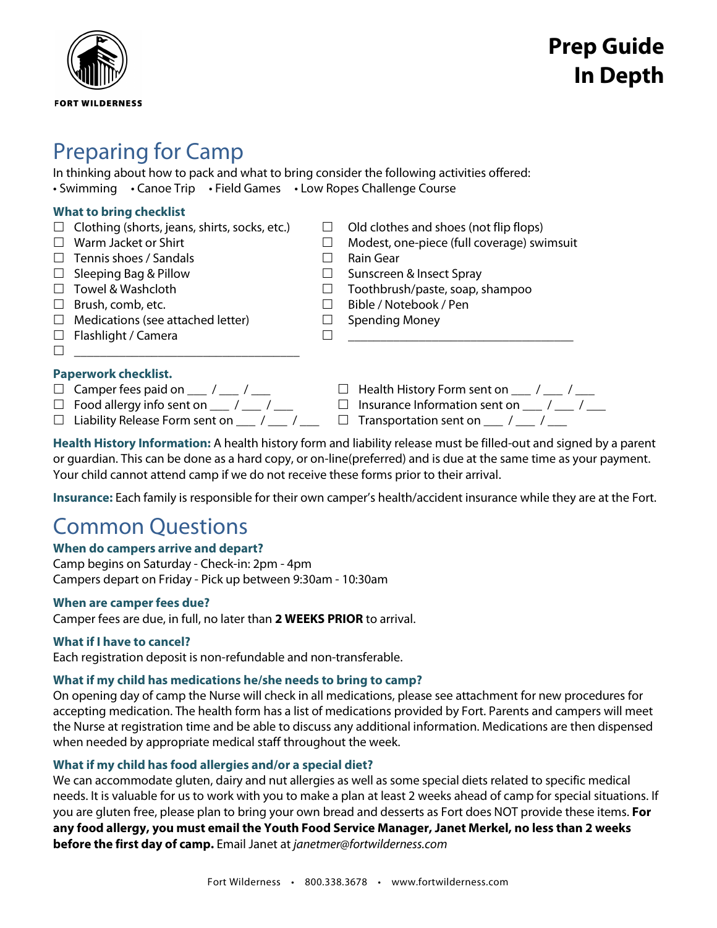

# Preparing for Camp

In thinking about how to pack and what to bring consider the following activities offered: • Swimming • Canoe Trip • Field Games • Low Ropes Challenge Course

| <b>What to bring checklist</b> |                                                      |  |                                                                         |
|--------------------------------|------------------------------------------------------|--|-------------------------------------------------------------------------|
|                                | $\Box$ Clothing (shorts, jeans, shirts, socks, etc.) |  | Old clothes and shoes (not flip flops)                                  |
|                                | Warm Jacket or Shirt                                 |  | Modest, one-piece (full coverage) swimsuit                              |
|                                | Tennis shoes / Sandals                               |  | Rain Gear                                                               |
| ⊔.                             | Sleeping Bag & Pillow                                |  | Sunscreen & Insect Spray                                                |
|                                | Towel & Washcloth                                    |  | Toothbrush/paste, soap, shampoo                                         |
| ш                              | Brush, comb, etc.                                    |  | Bible / Notebook / Pen                                                  |
| ш                              | Medications (see attached letter)                    |  | Spending Money                                                          |
| ш                              | Flashlight / Camera                                  |  |                                                                         |
|                                |                                                      |  |                                                                         |
| <b>Paperwork checklist.</b>    |                                                      |  |                                                                         |
|                                | $\Box$ Camper fees paid on $\Box$ / $\Box$ / $\Box$  |  | Health History Form sent on $\frac{1}{\sqrt{2}}$ / $\frac{1}{\sqrt{2}}$ |
|                                | $\Box$ Food allergy info sent on $\Box$ / $\Box$     |  | Insurance Information sent on ____ / ___ / _                            |

- 
- 
- 
- $\Box$  Liability Release Form sent on \_\_\_ / \_\_\_ / \_\_\_  $\Box$  Transportation sent on \_\_\_ / \_\_\_ / \_\_\_

**Health History Information:** A health history form and liability release must be filled-out and signed by a parent or guardian. This can be done as a hard copy, or on-line(preferred) and is due at the same time as your payment. Your child cannot attend camp if we do not receive these forms prior to their arrival.

**Insurance:** Each family is responsible for their own camper's health/accident insurance while they are at the Fort.

# Common Questions

## **When do campers arrive and depart?**

Camp begins on Saturday - Check-in: 2pm - 4pm Campers depart on Friday - Pick up between 9:30am - 10:30am

## **When are camper fees due?**

Camper fees are due, in full, no later than **2 WEEKS PRIOR** to arrival.

## **What if I have to cancel?**

Each registration deposit is non-refundable and non-transferable.

## **What if my child has medications he/she needs to bring to camp?**

On opening day of camp the Nurse will check in all medications, please see attachment for new procedures for accepting medication. The health form has a list of medications provided by Fort. Parents and campers will meet the Nurse at registration time and be able to discuss any additional information. Medications are then dispensed when needed by appropriate medical staff throughout the week.

## **What if my child has food allergies and/or a special diet?**

We can accommodate gluten, dairy and nut allergies as well as some special diets related to specific medical needs. It is valuable for us to work with you to make a plan at least 2 weeks ahead of camp for special situations. If you are gluten free, please plan to bring your own bread and desserts as Fort does NOT provide these items. **For any food allergy, you must email the Youth Food Service Manager, Janet Merkel, no less than 2 weeks before the first day of camp.** Email Janet at *[janetmer@fortwilderness.com](mailto:janetmer@fortwilderness.com)*